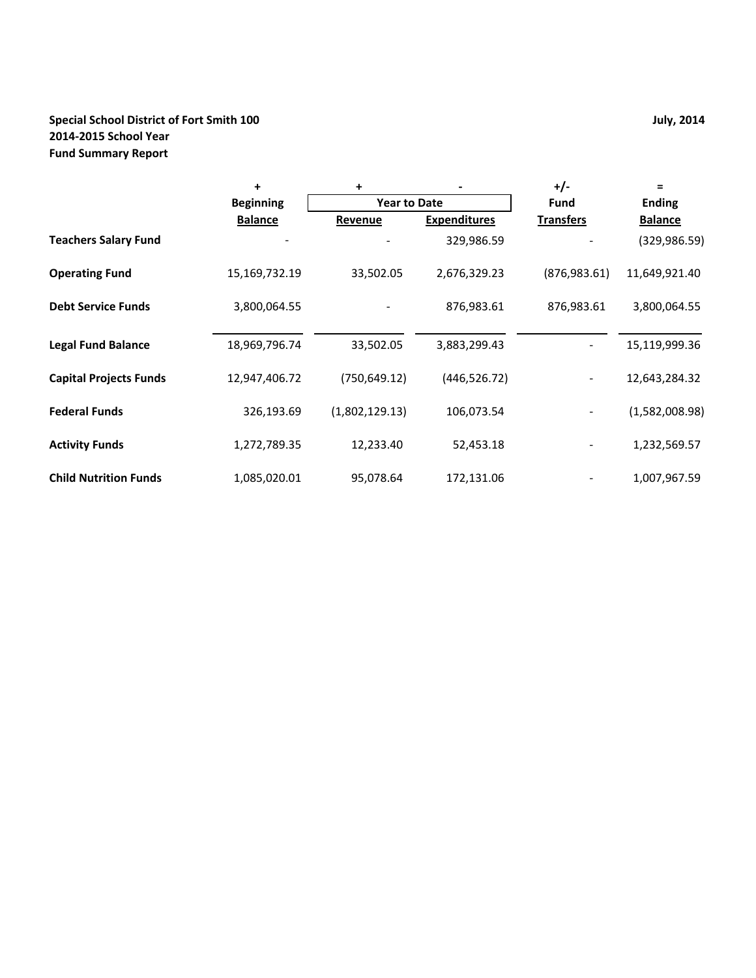## **Special School District of Fort Smith 100 July, 2014 2014‐2015 School Year Fund Summary Report**

|                               | $\ddot{}$        | +              |                     | $+/-$            | $=$            |
|-------------------------------|------------------|----------------|---------------------|------------------|----------------|
|                               | <b>Beginning</b> |                | <b>Year to Date</b> |                  | <b>Ending</b>  |
|                               | <b>Balance</b>   | Revenue        | <b>Expenditures</b> | <b>Transfers</b> | <b>Balance</b> |
| <b>Teachers Salary Fund</b>   |                  |                | 329,986.59          |                  | (329,986.59)   |
| <b>Operating Fund</b>         | 15,169,732.19    | 33,502.05      | 2,676,329.23        | (876, 983.61)    | 11,649,921.40  |
| <b>Debt Service Funds</b>     | 3,800,064.55     |                | 876,983.61          | 876,983.61       | 3,800,064.55   |
| <b>Legal Fund Balance</b>     | 18,969,796.74    | 33,502.05      | 3,883,299.43        |                  | 15,119,999.36  |
| <b>Capital Projects Funds</b> | 12,947,406.72    | (750, 649.12)  | (446, 526.72)       |                  | 12,643,284.32  |
| <b>Federal Funds</b>          | 326,193.69       | (1,802,129.13) | 106,073.54          |                  | (1,582,008.98) |
| <b>Activity Funds</b>         | 1,272,789.35     | 12,233.40      | 52,453.18           |                  | 1,232,569.57   |
| <b>Child Nutrition Funds</b>  | 1,085,020.01     | 95,078.64      | 172,131.06          |                  | 1,007,967.59   |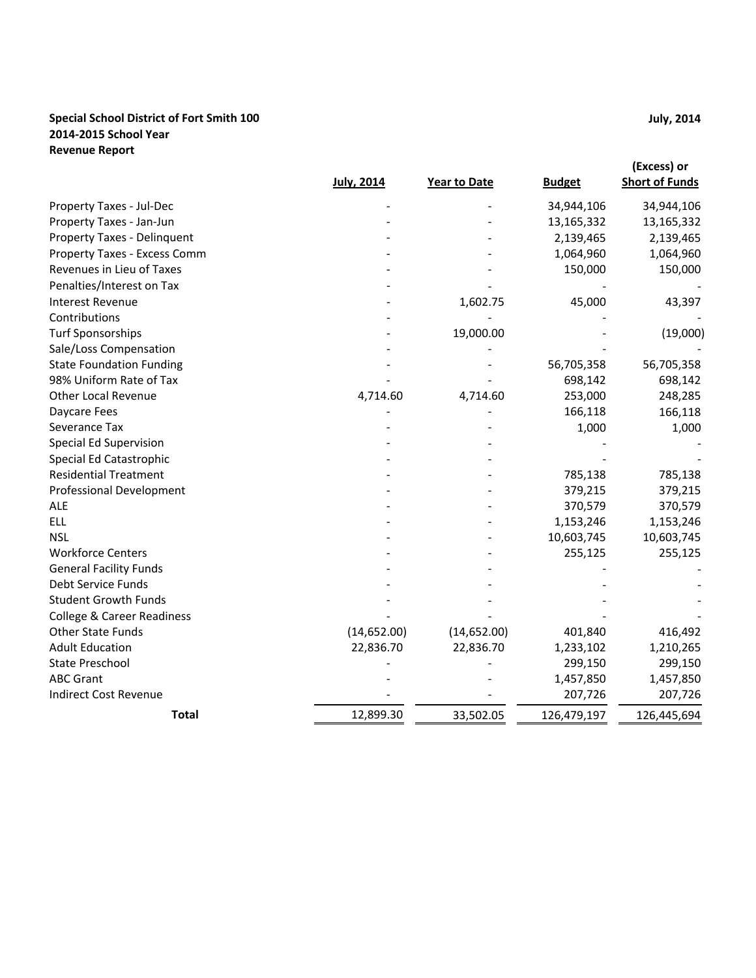### **Special School District of Fort Smith 100 2014‐2015 School Year Revenue Report**

|                                       | <b>July, 2014</b> | <b>Year to Date</b> | <b>Budget</b> | (Excess) or<br><b>Short of Funds</b> |
|---------------------------------------|-------------------|---------------------|---------------|--------------------------------------|
| Property Taxes - Jul-Dec              |                   |                     | 34,944,106    | 34,944,106                           |
| Property Taxes - Jan-Jun              |                   |                     | 13,165,332    | 13,165,332                           |
| <b>Property Taxes - Delinquent</b>    |                   |                     | 2,139,465     | 2,139,465                            |
| Property Taxes - Excess Comm          |                   |                     | 1,064,960     | 1,064,960                            |
| Revenues in Lieu of Taxes             |                   |                     | 150,000       | 150,000                              |
| Penalties/Interest on Tax             |                   |                     |               |                                      |
| <b>Interest Revenue</b>               |                   | 1,602.75            | 45,000        | 43,397                               |
| Contributions                         |                   |                     |               |                                      |
| <b>Turf Sponsorships</b>              |                   | 19,000.00           |               | (19,000)                             |
| Sale/Loss Compensation                |                   |                     |               |                                      |
| <b>State Foundation Funding</b>       |                   |                     | 56,705,358    | 56,705,358                           |
| 98% Uniform Rate of Tax               |                   |                     | 698,142       | 698,142                              |
| <b>Other Local Revenue</b>            | 4,714.60          | 4,714.60            | 253,000       | 248,285                              |
| Daycare Fees                          |                   |                     | 166,118       | 166,118                              |
| Severance Tax                         |                   |                     | 1,000         | 1,000                                |
| Special Ed Supervision                |                   |                     |               |                                      |
| Special Ed Catastrophic               |                   |                     |               |                                      |
| <b>Residential Treatment</b>          |                   |                     | 785,138       | 785,138                              |
| Professional Development              |                   |                     | 379,215       | 379,215                              |
| <b>ALE</b>                            |                   |                     | 370,579       | 370,579                              |
| <b>ELL</b>                            |                   |                     | 1,153,246     | 1,153,246                            |
| <b>NSL</b>                            |                   |                     | 10,603,745    | 10,603,745                           |
| <b>Workforce Centers</b>              |                   |                     | 255,125       | 255,125                              |
| <b>General Facility Funds</b>         |                   |                     |               |                                      |
| Debt Service Funds                    |                   |                     |               |                                      |
| <b>Student Growth Funds</b>           |                   |                     |               |                                      |
| <b>College &amp; Career Readiness</b> |                   |                     |               |                                      |
| <b>Other State Funds</b>              | (14, 652.00)      | (14, 652.00)        | 401,840       | 416,492                              |
| <b>Adult Education</b>                | 22,836.70         | 22,836.70           | 1,233,102     | 1,210,265                            |
| <b>State Preschool</b>                |                   |                     | 299,150       | 299,150                              |
| <b>ABC Grant</b>                      |                   |                     | 1,457,850     | 1,457,850                            |
| <b>Indirect Cost Revenue</b>          |                   |                     | 207,726       | 207,726                              |
| Total                                 | 12,899.30         | 33,502.05           | 126,479,197   | 126,445,694                          |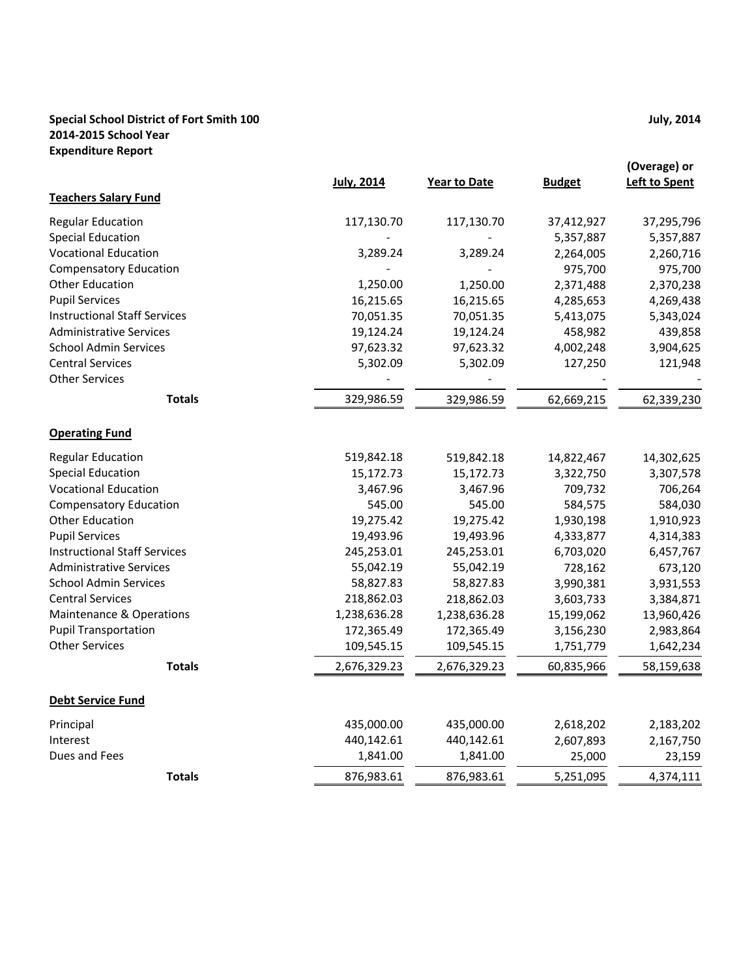#### **Special School District of Fort Smith 100 2014‐2015 School Year Expenditure Report**

|                                     | <b>July, 2014</b> | Year to Date | <b>Budget</b> | (Overage) or<br><b>Left to Spent</b> |
|-------------------------------------|-------------------|--------------|---------------|--------------------------------------|
| <b>Teachers Salary Fund</b>         |                   |              |               |                                      |
| <b>Regular Education</b>            | 117,130.70        | 117,130.70   | 37,412,927    | 37,295,796                           |
| <b>Special Education</b>            |                   |              | 5,357,887     | 5,357,887                            |
| <b>Vocational Education</b>         | 3,289.24          | 3,289.24     | 2,264,005     | 2,260,716                            |
| <b>Compensatory Education</b>       |                   |              | 975,700       | 975,700                              |
| <b>Other Education</b>              | 1,250.00          | 1,250.00     | 2,371,488     | 2,370,238                            |
| <b>Pupil Services</b>               | 16,215.65         | 16,215.65    | 4,285,653     | 4,269,438                            |
| <b>Instructional Staff Services</b> | 70,051.35         | 70,051.35    | 5,413,075     | 5,343,024                            |
| <b>Administrative Services</b>      | 19,124.24         | 19,124.24    | 458,982       | 439,858                              |
| <b>School Admin Services</b>        | 97,623.32         | 97,623.32    | 4,002,248     | 3,904,625                            |
| <b>Central Services</b>             | 5,302.09          | 5,302.09     | 127,250       | 121,948                              |
| <b>Other Services</b>               |                   |              |               |                                      |
| <b>Totals</b>                       | 329,986.59        | 329,986.59   | 62,669,215    | 62,339,230                           |
| <b>Operating Fund</b>               |                   |              |               |                                      |
| <b>Regular Education</b>            | 519,842.18        | 519,842.18   | 14,822,467    | 14,302,625                           |
| <b>Special Education</b>            | 15,172.73         | 15,172.73    | 3,322,750     | 3,307,578                            |
| <b>Vocational Education</b>         | 3,467.96          | 3,467.96     | 709,732       | 706,264                              |
| <b>Compensatory Education</b>       | 545.00            | 545.00       | 584,575       | 584,030                              |
| <b>Other Education</b>              | 19,275.42         | 19,275.42    | 1,930,198     | 1,910,923                            |
| <b>Pupil Services</b>               | 19,493.96         | 19,493.96    | 4,333,877     | 4,314,383                            |
| <b>Instructional Staff Services</b> | 245,253.01        | 245,253.01   | 6,703,020     | 6,457,767                            |
| <b>Administrative Services</b>      | 55,042.19         | 55,042.19    | 728,162       | 673,120                              |
| <b>School Admin Services</b>        | 58,827.83         | 58,827.83    | 3,990,381     | 3,931,553                            |
| <b>Central Services</b>             | 218,862.03        | 218,862.03   | 3,603,733     | 3,384,871                            |
| Maintenance & Operations            | 1,238,636.28      | 1,238,636.28 | 15,199,062    | 13,960,426                           |
| <b>Pupil Transportation</b>         | 172,365.49        | 172,365.49   | 3,156,230     | 2,983,864                            |
| <b>Other Services</b>               | 109,545.15        | 109,545.15   | 1,751,779     | 1,642,234                            |
| <b>Totals</b>                       | 2,676,329.23      | 2,676,329.23 | 60,835,966    | 58,159,638                           |
| <b>Debt Service Fund</b>            |                   |              |               |                                      |
| Principal                           | 435,000.00        | 435,000.00   | 2,618,202     | 2,183,202                            |
| Interest                            | 440,142.61        | 440,142.61   | 2,607,893     | 2,167,750                            |
| Dues and Fees                       | 1,841.00          | 1,841.00     | 25,000        | 23,159                               |
| <b>Totals</b>                       | 876,983.61        | 876,983.61   | 5,251,095     | 4,374,111                            |

**July, 2014**